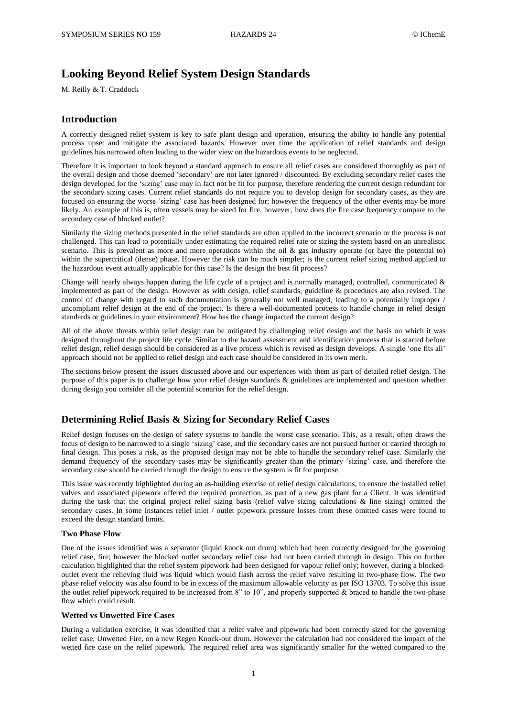# **Looking Beyond Relief System Design Standards**

M. Reilly & T. Craddock

### **Introduction**

A correctly designed relief system is key to safe plant design and operation, ensuring the ability to handle any potential process upset and mitigate the associated hazards. However over time the application of relief standards and design guidelines has narrowed often leading to the wider view on the hazardous events to be neglected.

Therefore it is important to look beyond a standard approach to ensure all relief cases are considered thoroughly as part of the overall design and those deemed 'secondary' are not later ignored / discounted. By excluding secondary relief cases the design developed for the 'sizing' case may in fact not be fit for purpose, therefore rendering the current design redundant for the secondary sizing cases. Current relief standards do not require you to develop design for secondary cases, as they are focused on ensuring the worse 'sizing' case has been designed for; however the frequency of the other events may be more likely. An example of this is, often vessels may be sized for fire, however, how does the fire case frequency compare to the secondary case of blocked outlet?

Similarly the sizing methods presented in the relief standards are often applied to the incorrect scenario or the process is not challenged. This can lead to potentially under estimating the required relief rate or sizing the system based on an unrealistic scenario. This is prevalent as more and more operations within the oil  $\&$  gas industry operate (or have the potential to) within the supercritical (dense) phase. However the risk can be much simpler; is the current relief sizing method applied to the hazardous event actually applicable for this case? Is the design the best fit process?

Change will nearly always happen during the life cycle of a project and is normally managed, controlled, communicated  $\&$ implemented as part of the design. However as with design, relief standards, guideline & procedures are also revised. The control of change with regard to such documentation is generally not well managed, leading to a potentially improper / uncompliant relief design at the end of the project. Is there a well-documented process to handle change in relief design standards or guidelines in your environment? How has the change impacted the current design?

All of the above threats within relief design can be mitigated by challenging relief design and the basis on which it was designed throughout the project life cycle. Similar to the hazard assessment and identification process that is started before relief design, relief design should be considered as a live process which is revised as design develops. A single 'one fits all' approach should not be applied to relief design and each case should be considered in its own merit.

The sections below present the issues discussed above and our experiences with them as part of detailed relief design. The purpose of this paper is to challenge how your relief design standards & guidelines are implemented and question whether during design you consider all the potential scenarios for the relief design.

### **Determining Relief Basis & Sizing for Secondary Relief Cases**

Relief design focuses on the design of safety systems to handle the worst case scenario. This, as a result, often draws the focus of design to be narrowed to a single 'sizing' case, and the secondary cases are not pursued further or carried through to final design. This poses a risk, as the proposed design may not be able to handle the secondary relief case. Similarly the demand frequency of the secondary cases may be significantly greater than the primary 'sizing' case, and therefore the secondary case should be carried through the design to ensure the system is fit for purpose.

This issue was recently highlighted during an as-building exercise of relief design calculations, to ensure the installed relief valves and associated pipework offered the required protection, as part of a new gas plant for a Client. It was identified during the task that the original project relief sizing basis (relief valve sizing calculations & line sizing) omitted the secondary cases. In some instances relief inlet / outlet pipework pressure losses from these omitted cases were found to exceed the design standard limits.

### **Two Phase Flow**

One of the issues identified was a separator (liquid knock out drum) which had been correctly designed for the governing relief case, fire; however the blocked outlet secondary relief case had not been carried through in design. This on further calculation highlighted that the relief system pipework had been designed for vapour relief only; however, during a blockedoutlet event the relieving fluid was liquid which would flash across the relief valve resulting in two-phase flow. The two phase relief velocity was also found to be in excess of the maximum allowable velocity as per ISO 13703. To solve this issue the outlet relief pipework required to be increased from 8" to  $10$ ", and properly supported  $\&$  braced to handle the two-phase flow which could result.

#### **Wetted vs Unwetted Fire Cases**

During a validation exercise, it was identified that a relief valve and pipework had been correctly sized for the governing relief case, Unwetted Fire, on a new Regen Knock-out drum. However the calculation had not considered the impact of the wetted fire case on the relief pipework. The required relief area was significantly smaller for the wetted compared to the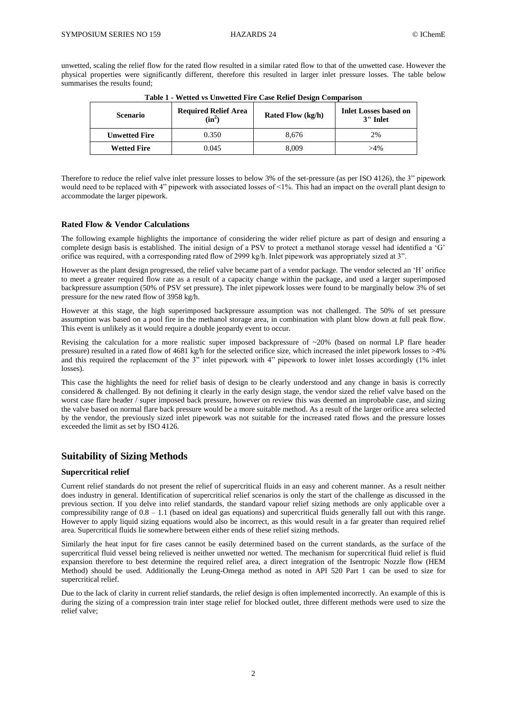unwetted, scaling the relief flow for the rated flow resulted in a similar rated flow to that of the unwetted case. However the physical properties were significantly different, therefore this resulted in larger inlet pressure losses. The table below summarises the results found;

| <b>Scenario</b>      | <b>Required Relief Area</b><br>$(in^2)$ | Rated Flow (kg/h) | <b>Inlet Losses based on</b><br>3" Inlet |
|----------------------|-----------------------------------------|-------------------|------------------------------------------|
| <b>Unwetted Fire</b> | 0.350                                   | 8.676             | 2%                                       |
| <b>Wetted Fire</b>   | 0.045                                   | 8.009             | $>4\%$                                   |

**Table 1 - Wetted vs Unwetted Fire Case Relief Design Comparison**

Therefore to reduce the relief valve inlet pressure losses to below 3% of the set-pressure (as per ISO 4126), the 3" pipework would need to be replaced with 4" pipework with associated losses of  $\leq 1\%$ . This had an impact on the overall plant design to accommodate the larger pipework.

### **Rated Flow & Vendor Calculations**

The following example highlights the importance of considering the wider relief picture as part of design and ensuring a complete design basis is established. The initial design of a PSV to protect a methanol storage vessel had identified a 'G' orifice was required, with a corresponding rated flow of 2999 kg/h. Inlet pipework was appropriately sized at 3".

However as the plant design progressed, the relief valve became part of a vendor package. The vendor selected an 'H' orifice to meet a greater required flow rate as a result of a capacity change within the package, and used a larger superimposed backpressure assumption (50% of PSV set pressure). The inlet pipework losses were found to be marginally below 3% of set pressure for the new rated flow of 3958 kg/h.

However at this stage, the high superimposed backpressure assumption was not challenged. The 50% of set pressure assumption was based on a pool fire in the methanol storage area, in combination with plant blow down at full peak flow. This event is unlikely as it would require a double jeopardy event to occur.

Revising the calculation for a more realistic super imposed backpressure of  $\sim$ 20% (based on normal LP flare header pressure) resulted in a rated flow of 4681 kg/h for the selected orifice size, which increased the inlet pipework losses to >4% and this required the replacement of the 3" inlet pipework with 4" pipework to lower inlet losses accordingly (1% inlet losses).

This case the highlights the need for relief basis of design to be clearly understood and any change in basis is correctly considered & challenged. By not defining it clearly in the early design stage, the vendor sized the relief valve based on the worst case flare header / super imposed back pressure, however on review this was deemed an improbable case, and sizing the valve based on normal flare back pressure would be a more suitable method. As a result of the larger orifice area selected by the vendor, the previously sized inlet pipework was not suitable for the increased rated flows and the pressure losses exceeded the limit as set by ISO 4126.

### **Suitability of Sizing Methods**

### **Supercritical relief**

Current relief standards do not present the relief of supercritical fluids in an easy and coherent manner. As a result neither does industry in general. Identification of supercritical relief scenarios is only the start of the challenge as discussed in the previous section. If you delve into relief standards, the standard vapour relief sizing methods are only applicable over a compressibility range of  $0.8 - 1.1$  (based on ideal gas equations) and supercritical fluids generally fall out with this range. However to apply liquid sizing equations would also be incorrect, as this would result in a far greater than required relief area. Supercritical fluids lie somewhere between either ends of these relief sizing methods.

Similarly the heat input for fire cases cannot be easily determined based on the current standards, as the surface of the supercritical fluid vessel being relieved is neither unwetted nor wetted. The mechanism for supercritical fluid relief is fluid expansion therefore to best determine the required relief area, a direct integration of the Isentropic Nozzle flow (HEM Method) should be used. Additionally the Leung-Omega method as noted in API 520 Part 1 can be used to size for supercritical relief.

Due to the lack of clarity in current relief standards, the relief design is often implemented incorrectly. An example of this is during the sizing of a compression train inter stage relief for blocked outlet, three different methods were used to size the relief valve;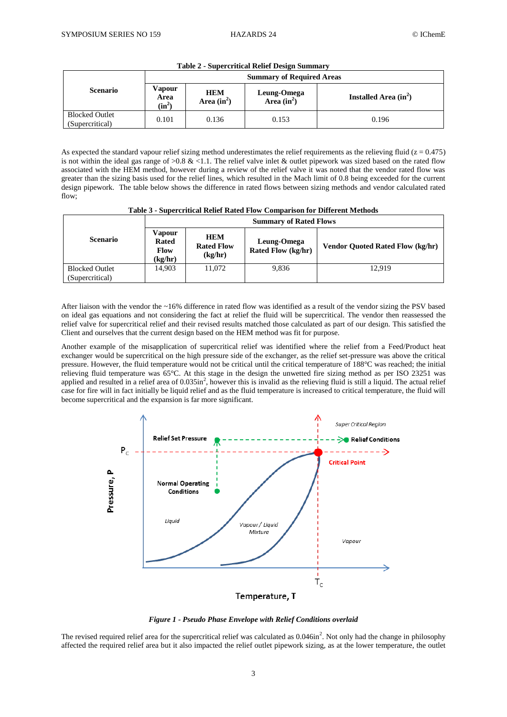|                                          | <b>Summary of Required Areas</b> |                             |                              |                         |
|------------------------------------------|----------------------------------|-----------------------------|------------------------------|-------------------------|
| <b>Scenario</b>                          | Vapour<br>Area<br>$(in^2)$       | <b>HEM</b><br>Area $(in^2)$ | Leung-Omega<br>Area $(in^2)$ | Installed Area $(in^2)$ |
| <b>Blocked Outlet</b><br>(Supercritical) | 0.101                            | 0.136                       | 0.153                        | 0.196                   |

**Table 2 - Supercritical Relief Design Summary**

As expected the standard vapour relief sizing method underestimates the relief requirements as the relieving fluid ( $z = 0.475$ ) is not within the ideal gas range of  $>0.8$  & <1.1. The relief valve inlet & outlet pipework was sized based on the rated flow associated with the HEM method, however during a review of the relief valve it was noted that the vendor rated flow was greater than the sizing basis used for the relief lines, which resulted in the Mach limit of 0.8 being exceeded for the current design pipework. The table below shows the difference in rated flows between sizing methods and vendor calculated rated flow;

**Table 3 - Supercritical Relief Rated Flow Comparison for Different Methods**

|                                          | <b>Summary of Rated Flows</b>                    |                                            |                                          |                                         |
|------------------------------------------|--------------------------------------------------|--------------------------------------------|------------------------------------------|-----------------------------------------|
| <b>Scenario</b>                          | Vapour<br><b>Rated</b><br><b>Flow</b><br>(kg/hr) | <b>HEM</b><br><b>Rated Flow</b><br>(kg/hr) | Leung-Omega<br><b>Rated Flow (kg/hr)</b> | <b>Vendor Ouoted Rated Flow (kg/hr)</b> |
| <b>Blocked Outlet</b><br>(Supercritical) | 14.903                                           | 11.072                                     | 9.836                                    | 12.919                                  |

After liaison with the vendor the  $\sim$ 16% difference in rated flow was identified as a result of the vendor sizing the PSV based on ideal gas equations and not considering the fact at relief the fluid will be supercritical. The vendor then reassessed the relief valve for supercritical relief and their revised results matched those calculated as part of our design. This satisfied the Client and ourselves that the current design based on the HEM method was fit for purpose.

Another example of the misapplication of supercritical relief was identified where the relief from a Feed/Product heat exchanger would be supercritical on the high pressure side of the exchanger, as the relief set-pressure was above the critical pressure. However, the fluid temperature would not be critical until the critical temperature of 188°C was reached; the initial relieving fluid temperature was 65°C. At this stage in the design the unwetted fire sizing method as per ISO 23251 was applied and resulted in a relief area of 0.035in<sup>2</sup>, however this is invalid as the relieving fluid is still a liquid. The actual relief case for fire will in fact initially be liquid relief and as the fluid temperature is increased to critical temperature, the fluid will become supercritical and the expansion is far more significant.



*Figure 1 - Pseudo Phase Envelope with Relief Conditions overlaid*

The revised required relief area for the supercritical relief was calculated as  $0.046$ in<sup>2</sup>. Not only had the change in philosophy affected the required relief area but it also impacted the relief outlet pipework sizing, as at the lower temperature, the outlet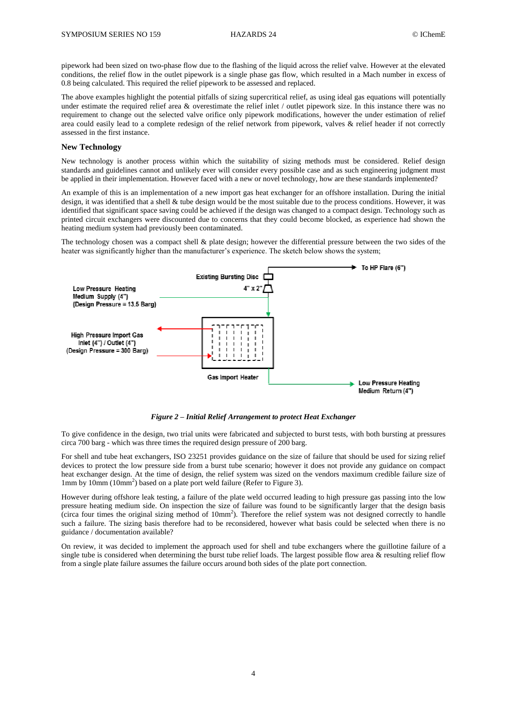pipework had been sized on two-phase flow due to the flashing of the liquid across the relief valve. However at the elevated conditions, the relief flow in the outlet pipework is a single phase gas flow, which resulted in a Mach number in excess of 0.8 being calculated. This required the relief pipework to be assessed and replaced.

The above examples highlight the potential pitfalls of sizing supercritical relief, as using ideal gas equations will potentially under estimate the required relief area & overestimate the relief inlet / outlet pipework size. In this instance there was no requirement to change out the selected valve orifice only pipework modifications, however the under estimation of relief area could easily lead to a complete redesign of the relief network from pipework, valves & relief header if not correctly assessed in the first instance.

### **New Technology**

New technology is another process within which the suitability of sizing methods must be considered. Relief design standards and guidelines cannot and unlikely ever will consider every possible case and as such engineering judgment must be applied in their implementation. However faced with a new or novel technology, how are these standards implemented?

An example of this is an implementation of a new import gas heat exchanger for an offshore installation. During the initial design, it was identified that a shell & tube design would be the most suitable due to the process conditions. However, it was identified that significant space saving could be achieved if the design was changed to a compact design. Technology such as printed circuit exchangers were discounted due to concerns that they could become blocked, as experience had shown the heating medium system had previously been contaminated.

The technology chosen was a compact shell & plate design; however the differential pressure between the two sides of the heater was significantly higher than the manufacturer's experience. The sketch below shows the system;



*Figure 2 – Initial Relief Arrangement to protect Heat Exchanger*

To give confidence in the design, two trial units were fabricated and subjected to burst tests, with both bursting at pressures circa 700 barg - which was three times the required design pressure of 200 barg.

For shell and tube heat exchangers, ISO 23251 provides guidance on the size of failure that should be used for sizing relief devices to protect the low pressure side from a burst tube scenario; however it does not provide any guidance on compact heat exchanger design. At the time of design, the relief system was sized on the vendors maximum credible failure size of 1mm by 10mm (10mm<sup>2</sup>) based on a plate port weld failure (Refer to Figure 3).

However during offshore leak testing, a failure of the plate weld occurred leading to high pressure gas passing into the low pressure heating medium side. On inspection the size of failure was found to be significantly larger that the design basis (circa four times the original sizing method of  $10mm<sup>2</sup>$ ). Therefore the relief system was not designed correctly to handle such a failure. The sizing basis therefore had to be reconsidered, however what basis could be selected when there is no guidance / documentation available?

On review, it was decided to implement the approach used for shell and tube exchangers where the guillotine failure of a single tube is considered when determining the burst tube relief loads. The largest possible flow area  $\&$  resulting relief flow from a single plate failure assumes the failure occurs around both sides of the plate port connection.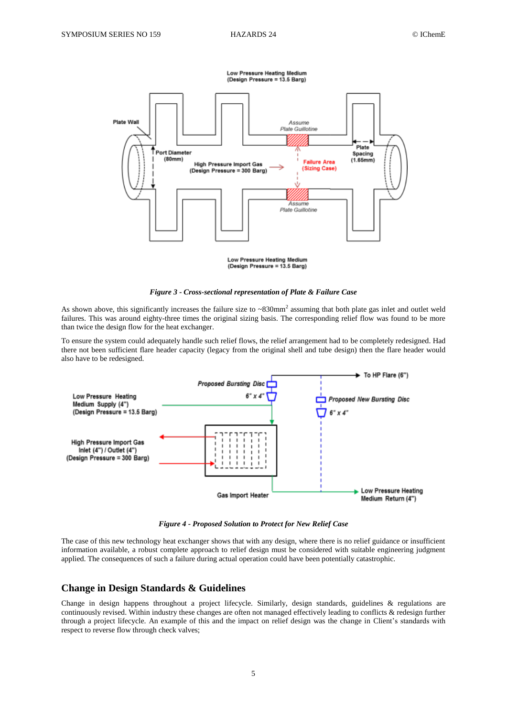

Low Pressure Heating Medium<br>(Design Pressure = 13.5 Barg)



As shown above, this significantly increases the failure size to  $\sim 830$ mm<sup>2</sup> assuming that both plate gas inlet and outlet weld failures. This was around eighty-three times the original sizing basis. The corresponding relief flow was found to be more than twice the design flow for the heat exchanger.

To ensure the system could adequately handle such relief flows, the relief arrangement had to be completely redesigned. Had there not been sufficient flare header capacity (legacy from the original shell and tube design) then the flare header would also have to be redesigned.



*Figure 4 - Proposed Solution to Protect for New Relief Case*

The case of this new technology heat exchanger shows that with any design, where there is no relief guidance or insufficient information available, a robust complete approach to relief design must be considered with suitable engineering judgment applied. The consequences of such a failure during actual operation could have been potentially catastrophic.

### **Change in Design Standards & Guidelines**

Change in design happens throughout a project lifecycle. Similarly, design standards, guidelines & regulations are continuously revised. Within industry these changes are often not managed effectively leading to conflicts & redesign further through a project lifecycle. An example of this and the impact on relief design was the change in Client's standards with respect to reverse flow through check valves;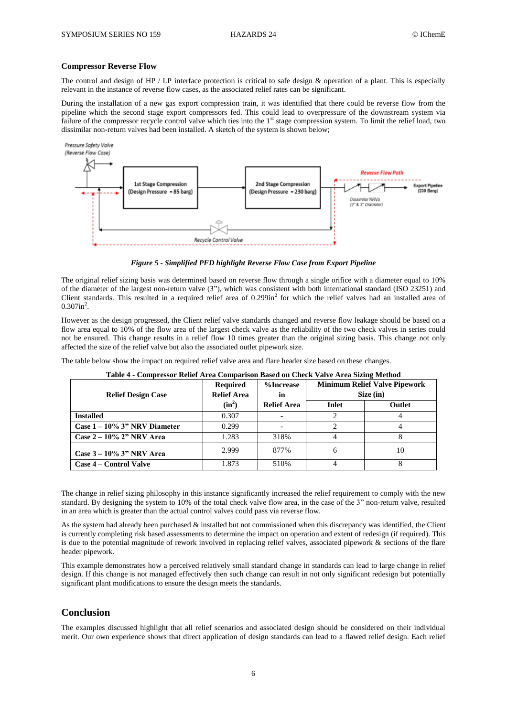### **Compressor Reverse Flow**

The control and design of HP / LP interface protection is critical to safe design  $\&$  operation of a plant. This is especially relevant in the instance of reverse flow cases, as the associated relief rates can be significant.

During the installation of a new gas export compression train, it was identified that there could be reverse flow from the pipeline which the second stage export compressors fed. This could lead to overpressure of the downstream system via failure of the compressor recycle control valve which ties into the 1<sup>st</sup> stage compression system. To limit the relief load, two dissimilar non-return valves had been installed. A sketch of the system is shown below;



*Figure 5 - Simplified PFD highlight Reverse Flow Case from Export Pipeline*

The original relief sizing basis was determined based on reverse flow through a single orifice with a diameter equal to 10% of the diameter of the largest non-return valve (3"), which was consistent with both international standard (ISO 23251) and Client standards. This resulted in a required relief area of  $0.299$ in<sup>2</sup> for which the relief valves had an installed area of  $0.307$ in<sup>2</sup>.

However as the design progressed, the Client relief valve standards changed and reverse flow leakage should be based on a flow area equal to 10% of the flow area of the largest check valve as the reliability of the two check valves in series could not be ensured. This change results in a relief flow 10 times greater than the original sizing basis. This change not only affected the size of the relief valve but also the associated outlet pipework size.

The table below show the impact on required relief valve area and flare header size based on these changes.

| <b>Relief Design Case</b>       | <b>Required</b><br><b>Relief Area</b> | %Increase<br>in    | <b>Minimum Relief Valve Pipework</b><br>Size (in) |        |
|---------------------------------|---------------------------------------|--------------------|---------------------------------------------------|--------|
|                                 | $(in^2)$                              | <b>Relief Area</b> | Inlet                                             | Outlet |
| <b>Installed</b>                | 0.307                                 |                    |                                                   |        |
| Case $1 - 10\%$ 3" NRV Diameter | 0.299                                 |                    |                                                   |        |
| Case $2 - 10\%$ 2" NRV Area     | 1.283                                 | 318%               |                                                   |        |
| Case $3 - 10\%$ 3" NRV Area     | 2.999                                 | 877%               | 6                                                 | 10     |
| Case 4 – Control Valve          | 1.873                                 | 510\%              |                                                   |        |

**Table 4 - Compressor Relief Area Comparison Based on Check Valve Area Sizing Method**

The change in relief sizing philosophy in this instance significantly increased the relief requirement to comply with the new standard. By designing the system to 10% of the total check valve flow area, in the case of the 3" non-return valve, resulted in an area which is greater than the actual control valves could pass via reverse flow.

As the system had already been purchased  $\&$  installed but not commissioned when this discrepancy was identified, the Client is currently completing risk based assessments to determine the impact on operation and extent of redesign (if required). This is due to the potential magnitude of rework involved in replacing relief valves, associated pipework & sections of the flare header pipework.

This example demonstrates how a perceived relatively small standard change in standards can lead to large change in relief design. If this change is not managed effectively then such change can result in not only significant redesign but potentially significant plant modifications to ensure the design meets the standards.

## **Conclusion**

The examples discussed highlight that all relief scenarios and associated design should be considered on their individual merit. Our own experience shows that direct application of design standards can lead to a flawed relief design. Each relief